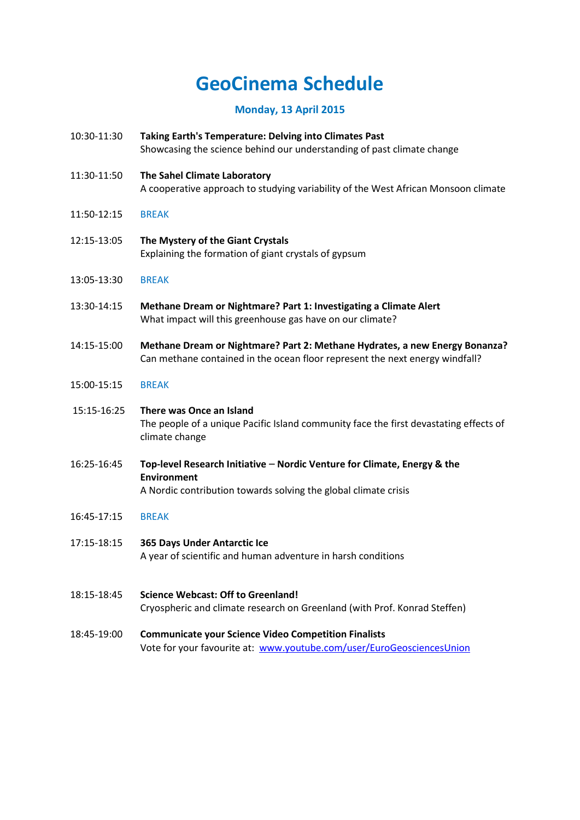# **GeoCinema Schedule**

## **Monday, 13 April 2015**

- 10:30-11:30 **Taking Earth's Temperature: Delving into Climates Past** Showcasing the science behind our understanding of past climate change
- 11:30-11:50 **The Sahel Climate Laboratory**
	- A cooperative approach to studying variability of the West African Monsoon climate
- 11:50-12:15 BREAK
- 12:15-13:05 **The Mystery of the Giant Crystals** Explaining the formation of giant crystals of gypsum
- 13:05-13:30 BREAK
- 13:30-14:15 **Methane Dream or Nightmare? Part 1: Investigating a Climate Alert** What impact will this greenhouse gas have on our climate?
- 14:15-15:00 **Methane Dream or Nightmare? Part 2: Methane Hydrates, a new Energy Bonanza?** Can methane contained in the ocean floor represent the next energy windfall?

#### 15:00-15:15 BREAK

- 15:15-16:25 **There was Once an Island**  The people of a unique Pacific Island community face the first devastating effects of climate change
- 16:25-16:45 **Top-level Research Initiative Nordic Venture for Climate, Energy & the Environment**  A Nordic contribution towards solving the global climate crisis
- 16:45-17:15 BREAK
- 17:15-18:15 **365 Days Under Antarctic Ice** A year of scientific and human adventure in harsh conditions
- 18:15-18:45 **Science Webcast: Off to Greenland!** Cryospheric and climate research on Greenland (with Prof. Konrad Steffen)
- 18:45-19:00 **Communicate your Science Video Competition Finalists** Vote for your favourite at: [www.youtube.com/user/EuroGeosciencesUnion](http://www.youtube.com/user/EuroGeosciencesUnion)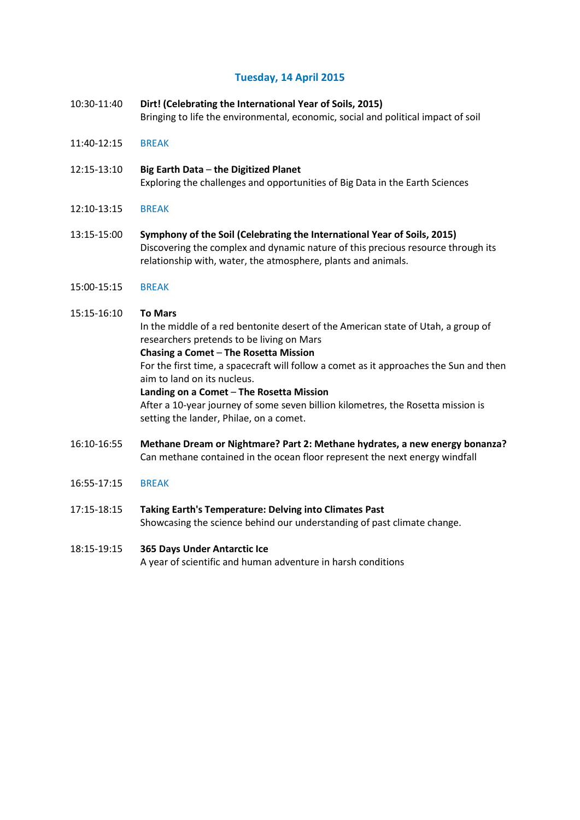## **Tuesday, 14 April 2015**

- 10:30-11:40 **Dirt! (Celebrating the International Year of Soils, 2015)** Bringing to life the environmental, economic, social and political impact of soil
- 11:40-12:15 BREAK
- 12:15-13:10 **Big Earth Data the Digitized Planet** Exploring the challenges and opportunities of Big Data in the Earth Sciences
- 12:10-13:15 BREAK
- 13:15-15:00 **Symphony of the Soil (Celebrating the International Year of Soils, 2015)** Discovering the complex and dynamic nature of this precious resource through its relationship with, water, the atmosphere, plants and animals.
- 15:00-15:15 BREAK

#### 15:15-16:10 **To Mars**

In the middle of a red bentonite desert of the American state of Utah, a group of researchers pretends to be living on Mars

#### **Chasing a Comet** – **The Rosetta Mission**

For the first time, a spacecraft will follow a comet as it approaches the Sun and then aim to land on its nucleus.

#### **Landing on a Comet** – **The Rosetta Mission**

After a 10-year journey of some seven billion kilometres, the Rosetta mission is setting the lander, Philae, on a comet.

- 16:10-16:55 **Methane Dream or Nightmare? Part 2: Methane hydrates, a new energy bonanza?** Can methane contained in the ocean floor represent the next energy windfall
- 16:55-17:15 BREAK
- 17:15-18:15 **Taking Earth's Temperature: Delving into Climates Past** Showcasing the science behind our understanding of past climate change.

## 18:15-19:15 **365 Days Under Antarctic Ice**

A year of scientific and human adventure in harsh conditions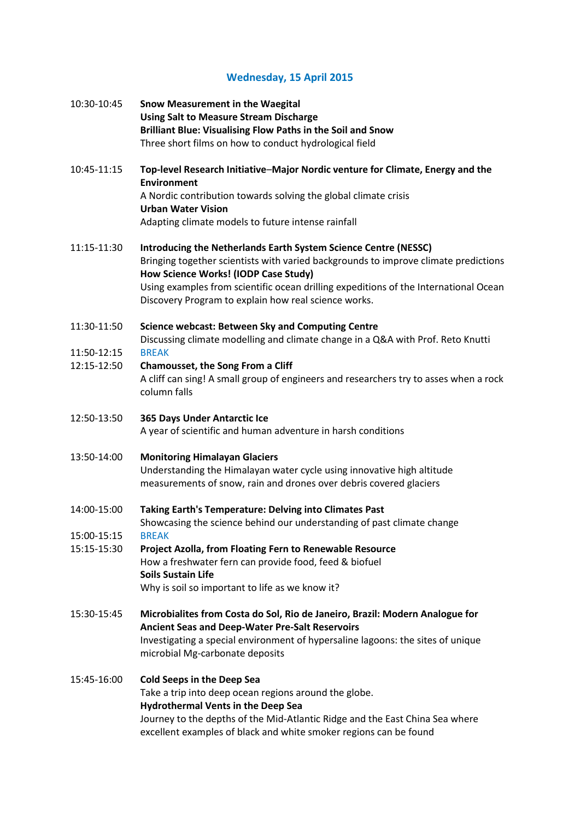## **Wednesday, 15 April 2015**

| 10:30-10:45                | Snow Measurement in the Waegital<br><b>Using Salt to Measure Stream Discharge</b><br>Brilliant Blue: Visualising Flow Paths in the Soil and Snow<br>Three short films on how to conduct hydrological field              |
|----------------------------|-------------------------------------------------------------------------------------------------------------------------------------------------------------------------------------------------------------------------|
| 10:45-11:15                | Top-level Research Initiative-Major Nordic venture for Climate, Energy and the<br>Environment<br>A Nordic contribution towards solving the global climate crisis                                                        |
|                            | <b>Urban Water Vision</b>                                                                                                                                                                                               |
|                            | Adapting climate models to future intense rainfall                                                                                                                                                                      |
| 11:15-11:30                | Introducing the Netherlands Earth System Science Centre (NESSC)<br>Bringing together scientists with varied backgrounds to improve climate predictions<br>How Science Works! (IODP Case Study)                          |
|                            | Using examples from scientific ocean drilling expeditions of the International Ocean<br>Discovery Program to explain how real science works.                                                                            |
| 11:30-11:50                | <b>Science webcast: Between Sky and Computing Centre</b><br>Discussing climate modelling and climate change in a Q&A with Prof. Reto Knutti                                                                             |
| 11:50-12:15<br>12:15-12:50 | <b>BREAK</b><br>Chamousset, the Song From a Cliff                                                                                                                                                                       |
|                            | A cliff can sing! A small group of engineers and researchers try to asses when a rock<br>column falls                                                                                                                   |
| 12:50-13:50                | 365 Days Under Antarctic Ice<br>A year of scientific and human adventure in harsh conditions                                                                                                                            |
| 13:50-14:00                | <b>Monitoring Himalayan Glaciers</b><br>Understanding the Himalayan water cycle using innovative high altitude<br>measurements of snow, rain and drones over debris covered glaciers                                    |
| 14:00-15:00                | Taking Earth's Temperature: Delving into Climates Past<br>Showcasing the science behind our understanding of past climate change                                                                                        |
| 15:00-15:15                | <b>BREAK</b>                                                                                                                                                                                                            |
| 15:15-15:30                | Project Azolla, from Floating Fern to Renewable Resource<br>How a freshwater fern can provide food, feed & biofuel<br><b>Soils Sustain Life</b>                                                                         |
|                            | Why is soil so important to life as we know it?                                                                                                                                                                         |
| 15:30-15:45                | Microbialites from Costa do Sol, Rio de Janeiro, Brazil: Modern Analogue for<br><b>Ancient Seas and Deep-Water Pre-Salt Reservoirs</b>                                                                                  |
|                            | Investigating a special environment of hypersaline lagoons: the sites of unique<br>microbial Mg-carbonate deposits                                                                                                      |
| 15:45-16:00                | <b>Cold Seeps in the Deep Sea</b><br>Take a trip into deep ocean regions around the globe.<br><b>Hydrothermal Vents in the Deep Sea</b><br>Journey to the depths of the Mid-Atlantic Ridge and the East China Sea where |
|                            | excellent examples of black and white smoker regions can be found                                                                                                                                                       |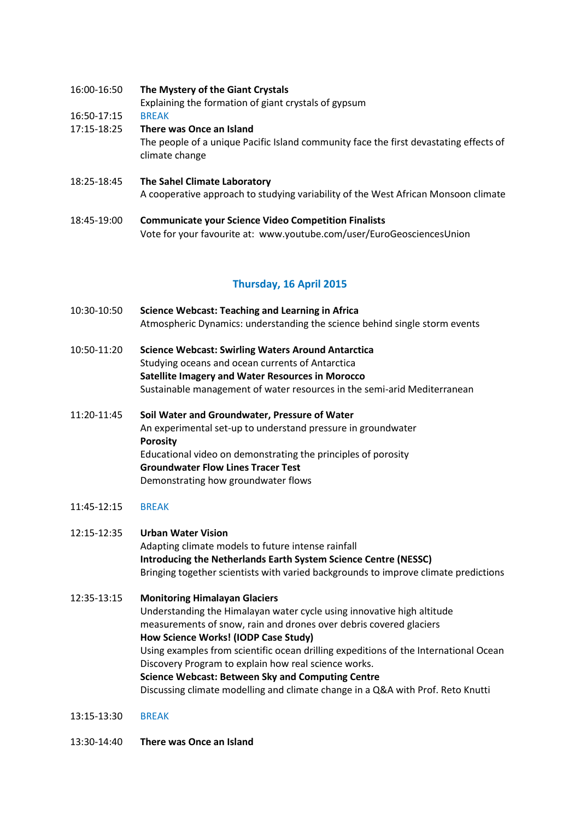16:00-16:50 **The Mystery of the Giant Crystals**

Explaining the formation of giant crystals of gypsum

16:50-17:15 BREAK

- 17:15-18:25 **There was Once an Island** The people of a unique Pacific Island community face the first devastating effects of climate change
- 18:25-18:45 **The Sahel Climate Laboratory** A cooperative approach to studying variability of the West African Monsoon climate
- 18:45-19:00 **Communicate your Science Video Competition Finalists** Vote for your favourite at: www.youtube.com/user/EuroGeosciencesUnion

## **Thursday, 16 April 2015**

- 10:30-10:50 **Science Webcast: Teaching and Learning in Africa** Atmospheric Dynamics: understanding the science behind single storm events
- 10:50-11:20 **Science Webcast: Swirling Waters Around Antarctica** Studying oceans and ocean currents of Antarctica **Satellite Imagery and Water Resources in Morocco** Sustainable management of water resources in the semi-arid Mediterranean
- 11:20-11:45 **Soil Water and Groundwater, Pressure of Water** An experimental set-up to understand pressure in groundwater **Porosity** Educational video on demonstrating the principles of porosity **Groundwater Flow Lines Tracer Test** Demonstrating how groundwater flows
- 11:45-12:15 BREAK
- 12:15-12:35 **Urban Water Vision** Adapting climate models to future intense rainfall **Introducing the Netherlands Earth System Science Centre (NESSC)** Bringing together scientists with varied backgrounds to improve climate predictions
- 12:35-13:15 **Monitoring Himalayan Glaciers** Understanding the Himalayan water cycle using innovative high altitude measurements of snow, rain and drones over debris covered glaciers **How Science Works! (IODP Case Study)** Using examples from scientific ocean drilling expeditions of the International Ocean Discovery Program to explain how real science works. **Science Webcast: Between Sky and Computing Centre** Discussing climate modelling and climate change in a Q&A with Prof. Reto Knutti
- 13:15-13:30 BREAK
- 13:30-14:40 **There was Once an Island**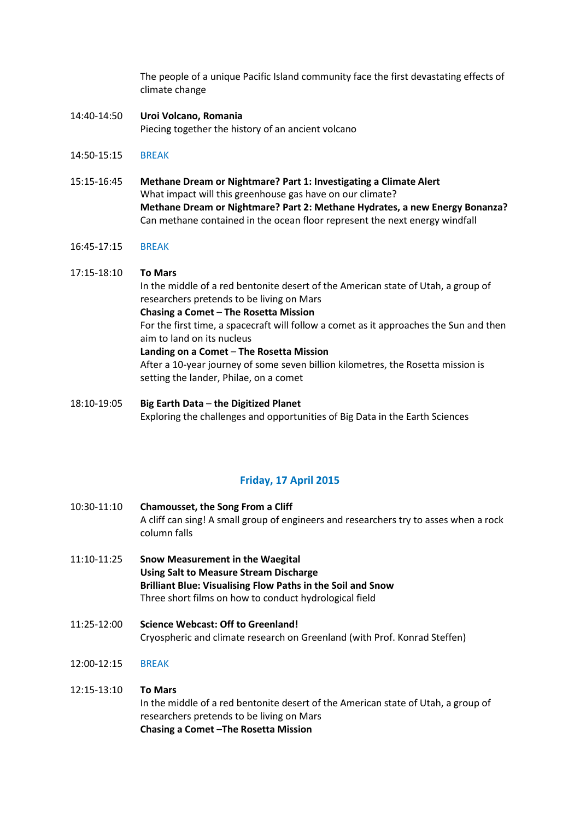The people of a unique Pacific Island community face the first devastating effects of climate change

- 14:40-14:50 **Uroi Volcano, Romania** Piecing together the history of an ancient volcano
- 14:50-15:15 BREAK
- 15:15-16:45 **Methane Dream or Nightmare? Part 1: Investigating a Climate Alert** What impact will this greenhouse gas have on our climate? **Methane Dream or Nightmare? Part 2: Methane Hydrates, a new Energy Bonanza?** Can methane contained in the ocean floor represent the next energy windfall
- 16:45-17:15 BREAK

## 17:15-18:10 **To Mars** In the middle of a red bentonite desert of the American state of Utah, a group of researchers pretends to be living on Mars **Chasing a Comet** – **The Rosetta Mission** For the first time, a spacecraft will follow a comet as it approaches the Sun and then aim to land on its nucleus **Landing on a Comet** – **The Rosetta Mission** After a 10-year journey of some seven billion kilometres, the Rosetta mission is setting the lander, Philae, on a comet

18:10-19:05 **Big Earth Data** – **the Digitized Planet** Exploring the challenges and opportunities of Big Data in the Earth Sciences

## **Friday, 17 April 2015**

- 10:30-11:10 **Chamousset, the Song From a Cliff** A cliff can sing! A small group of engineers and researchers try to asses when a rock column falls
- 11:10-11:25 **Snow Measurement in the Waegital Using Salt to Measure Stream Discharge Brilliant Blue: Visualising Flow Paths in the Soil and Snow** Three short films on how to conduct hydrological field
- 11:25-12:00 **Science Webcast: Off to Greenland!** Cryospheric and climate research on Greenland (with Prof. Konrad Steffen)
- 12:00-12:15 BREAK

#### 12:15-13:10 **To Mars**

In the middle of a red bentonite desert of the American state of Utah, a group of researchers pretends to be living on Mars **Chasing a Comet** –**The Rosetta Mission**